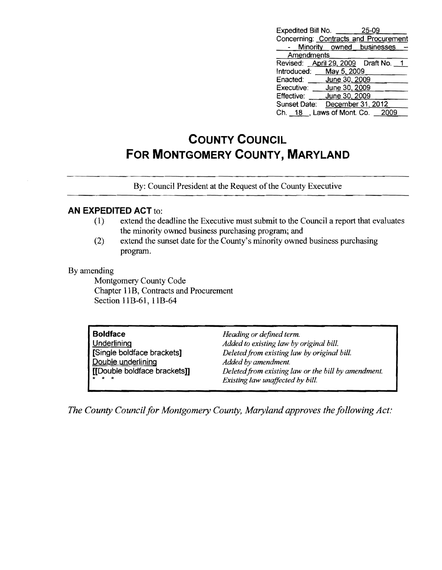| Expedited Bill No.                    |                   | 25-09                       |  |
|---------------------------------------|-------------------|-----------------------------|--|
| Concerning: Contracts and Procurement |                   |                             |  |
|                                       |                   | Minority owned businesses - |  |
| Amendments                            |                   |                             |  |
| Revised: April 29, 2009 Draft No. 1   |                   |                             |  |
| Introduced: May 5, 2009               |                   |                             |  |
| Enacted: June 30, 2009                |                   |                             |  |
| Executive: June 30, 2009              |                   |                             |  |
| Effective:                            | June 30, 2009     |                             |  |
| Sunset Date:                          | December 31, 2012 |                             |  |
| Ch. 18 Laws of Mont. Co. 2009         |                   |                             |  |

## **COUNTY COUNCIL FOR MONTGOMERY COUNTY, MARYLAND**

By: Council President at the Request of the County Executive

## **AN EXPEDITED ACT** to:

- (1) extend the deadline the Executive must submit to the Council a report that evaluates the minority owned business purchasing program; and
- (2) extend the sunset date for the County's minority owned business purchasing program.

## By amending

Montgomery County Code Chapter 11B, Contracts and Procurement Section 11B-61, 11B-64

| <b>Boldface</b><br><b>Underlining</b><br>Single boldface brackets]<br>Double underlining<br>  [[Double boldface brackets]] | Heading or defined term.<br>Added to existing law by original bill.<br>Deleted from existing law by original bill.<br>Added by amendment.<br>Deleted from existing law or the bill by amendment.<br>Existing law unaffected by bill. |  |
|----------------------------------------------------------------------------------------------------------------------------|--------------------------------------------------------------------------------------------------------------------------------------------------------------------------------------------------------------------------------------|--|
|----------------------------------------------------------------------------------------------------------------------------|--------------------------------------------------------------------------------------------------------------------------------------------------------------------------------------------------------------------------------------|--|

*The County Council for Montgomery County, Maryland approves the following Act:*